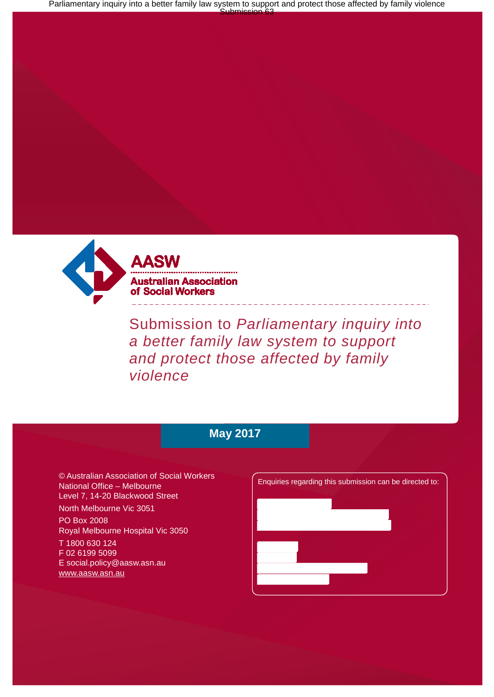Parliamentary inquiry into a better family law system to support and protect those affected by family violence<br>Submission 63



Submission to *Parliamentary inquiry into a better family law system to support and protect those affected by family violence*

# **May 2017**

© Australian Association of Social Workers National Office – Melbourne Level 7, 14-20 Blackwood Street

North Melbourne Vic 3051

PO Box 2008 Royal Melbourne Hospital Vic 3050

T 1800 630 124 F 02 6199 5099 [E social.policy@aasw.asn.au](mailto:advocacy@aasw.asn.au) [www.aasw.asn.au](http://www.aasw.asn.au/)

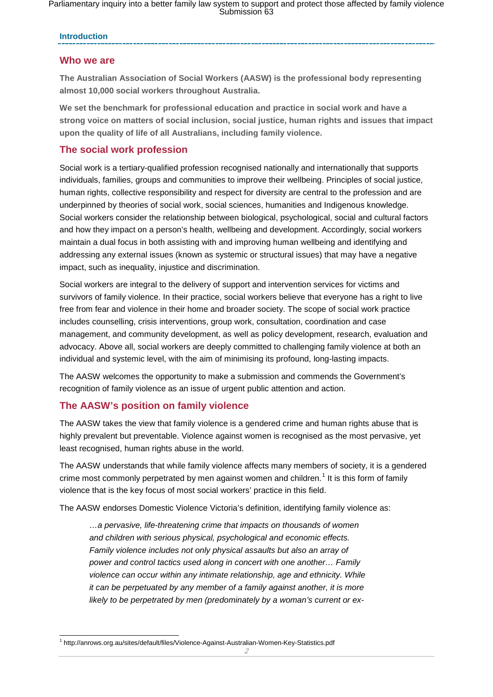Parliamentary inquiry into a better family law system to support and protect those affected by family violence Submission 63

#### **Introduction**

### **Who we are**

**The Australian Association of Social Workers (AASW) is the professional body representing almost 10,000 social workers throughout Australia.** 

**We set the benchmark for professional education and practice in social work and have a strong voice on matters of social inclusion, social justice, human rights and issues that impact upon the quality of life of all Australians, including family violence.**

#### **The social work profession**

Social work is a tertiary-qualified profession recognised nationally and internationally that supports individuals, families, groups and communities to improve their wellbeing. Principles of social justice, human rights, collective responsibility and respect for diversity are central to the profession and are underpinned by theories of social work, social sciences, humanities and Indigenous knowledge. Social workers consider the relationship between biological, psychological, social and cultural factors and how they impact on a person's health, wellbeing and development. Accordingly, social workers maintain a dual focus in both assisting with and improving human wellbeing and identifying and addressing any external issues (known as systemic or structural issues) that may have a negative impact, such as inequality, injustice and discrimination.

Social workers are integral to the delivery of support and intervention services for victims and survivors of family violence. In their practice, social workers believe that everyone has a right to live free from fear and violence in their home and broader society. The scope of social work practice includes counselling, crisis interventions, group work, consultation, coordination and case management, and community development, as well as policy development, research, evaluation and advocacy. Above all, social workers are deeply committed to challenging family violence at both an individual and systemic level, with the aim of minimising its profound, long-lasting impacts.

The AASW welcomes the opportunity to make a submission and commends the Government's recognition of family violence as an issue of urgent public attention and action.

### **The AASW's position on family violence**

The AASW takes the view that family violence is a gendered crime and human rights abuse that is highly prevalent but preventable. Violence against women is recognised as the most pervasive, yet least recognised, human rights abuse in the world.

The AASW understands that while family violence affects many members of society, it is a gendered crime most commonly perpetrated by men against women and children.<sup>[1](#page-1-0)</sup> It is this form of family violence that is the key focus of most social workers' practice in this field.

The AASW endorses Domestic Violence Victoria's definition, identifying family violence as:

*…a pervasive, life-threatening crime that impacts on thousands of women and children with serious physical, psychological and economic effects. Family violence includes not only physical assaults but also an array of power and control tactics used along in concert with one another… Family violence can occur within any intimate relationship, age and ethnicity. While it can be perpetuated by any member of a family against another, it is more likely to be perpetrated by men (predominately by a woman's current or ex-*

<span id="page-1-0"></span> <sup>1</sup> http://anrows.org.au/sites/default/files/Violence-Against-Australian-Women-Key-Statistics.pdf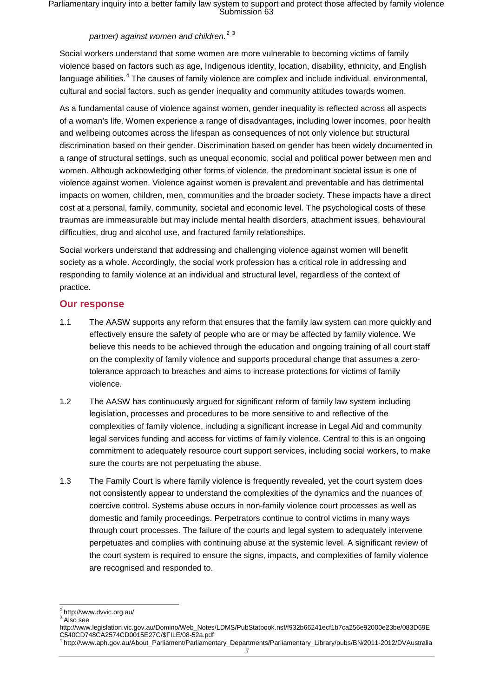Parliamentary inquiry into a better family law system to support and protect those affected by family violence Submission 63

## *partner) against women and children.* [2](#page-2-0) [3](#page-2-1)

Social workers understand that some women are more vulnerable to becoming victims of family violence based on factors such as age, Indigenous identity, location, disability, ethnicity, and English language abilities.<sup>[4](#page-2-2)</sup> The causes of family violence are complex and include individual, environmental, cultural and social factors, such as gender inequality and community attitudes towards women.

As a fundamental cause of violence against women, gender inequality is reflected across all aspects of a woman's life. Women experience a range of disadvantages, including lower incomes, poor health and wellbeing outcomes across the lifespan as consequences of not only violence but structural discrimination based on their gender. Discrimination based on gender has been widely documented in a range of structural settings, such as unequal economic, social and political power between men and women. Although acknowledging other forms of violence, the predominant societal issue is one of violence against women. Violence against women is prevalent and preventable and has detrimental impacts on women, children, men, communities and the broader society. These impacts have a direct cost at a personal, family, community, societal and economic level. The psychological costs of these traumas are immeasurable but may include mental health disorders, attachment issues, behavioural difficulties, drug and alcohol use, and fractured family relationships.

Social workers understand that addressing and challenging violence against women will benefit society as a whole. Accordingly, the social work profession has a critical role in addressing and responding to family violence at an individual and structural level, regardless of the context of practice.

#### **Our response**

- 1.1 The AASW supports any reform that ensures that the family law system can more quickly and effectively ensure the safety of people who are or may be affected by family violence. We believe this needs to be achieved through the education and ongoing training of all court staff on the complexity of family violence and supports procedural change that assumes a zerotolerance approach to breaches and aims to increase protections for victims of family violence.
- 1.2 The AASW has continuously argued for significant reform of family law system including legislation, processes and procedures to be more sensitive to and reflective of the complexities of family violence, including a significant increase in Legal Aid and community legal services funding and access for victims of family violence. Central to this is an ongoing commitment to adequately resource court support services, including social workers, to make sure the courts are not perpetuating the abuse.
- 1.3 The Family Court is where family violence is frequently revealed, yet the court system does not consistently appear to understand the complexities of the dynamics and the nuances of coercive control. Systems abuse occurs in non-family violence court processes as well as domestic and family proceedings. Perpetrators continue to control victims in many ways through court processes. The failure of the courts and legal system to adequately intervene perpetuates and complies with continuing abuse at the systemic level. A significant review of the court system is required to ensure the signs, impacts, and complexities of family violence are recognised and responded to.

<span id="page-2-0"></span> <sup>2</sup> http://www.dvvic.org.au/

<sup>&</sup>lt;sup>3</sup> Also see

<span id="page-2-1"></span>http://www.legislation.vic.gov.au/Domino/Web\_Notes/LDMS/PubStatbook.nsf/f932b66241ecf1b7ca256e92000e23be/083D69E C540CD748CA2574CD0015E27C/\$FILE/08-52a.pdf <sup>4</sup> http://www.aph.gov.au/About\_Parliament/Parliamentary\_Departments/Parliamentary\_Library/pubs/BN/2011-2012/DVAustralia

<span id="page-2-2"></span>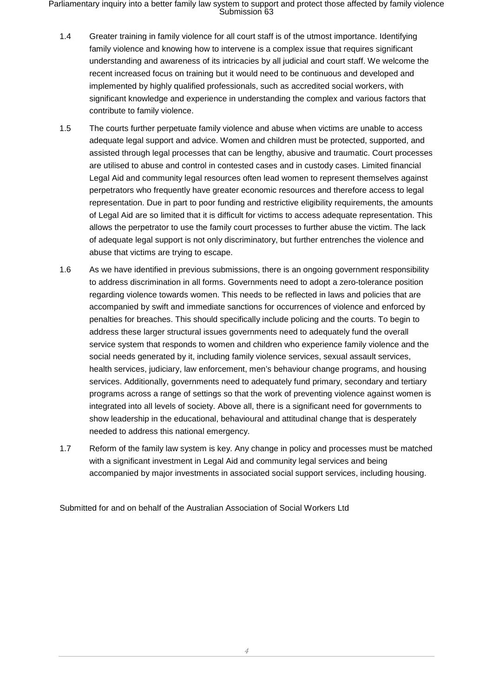Parliamentary inquiry into a better family law system to support and protect those affected by family violence Submission 63

- 1.4 Greater training in family violence for all court staff is of the utmost importance. Identifying family violence and knowing how to intervene is a complex issue that requires significant understanding and awareness of its intricacies by all judicial and court staff. We welcome the recent increased focus on training but it would need to be continuous and developed and implemented by highly qualified professionals, such as accredited social workers, with significant knowledge and experience in understanding the complex and various factors that contribute to family violence.
- 1.5 The courts further perpetuate family violence and abuse when victims are unable to access adequate legal support and advice. Women and children must be protected, supported, and assisted through legal processes that can be lengthy, abusive and traumatic. Court processes are utilised to abuse and control in contested cases and in custody cases. Limited financial Legal Aid and community legal resources often lead women to represent themselves against perpetrators who frequently have greater economic resources and therefore access to legal representation. Due in part to poor funding and restrictive eligibility requirements, the amounts of Legal Aid are so limited that it is difficult for victims to access adequate representation. This allows the perpetrator to use the family court processes to further abuse the victim. The lack of adequate legal support is not only discriminatory, but further entrenches the violence and abuse that victims are trying to escape.
- 1.6 As we have identified in previous submissions, there is an ongoing government responsibility to address discrimination in all forms. Governments need to adopt a zero-tolerance position regarding violence towards women. This needs to be reflected in laws and policies that are accompanied by swift and immediate sanctions for occurrences of violence and enforced by penalties for breaches. This should specifically include policing and the courts. To begin to address these larger structural issues governments need to adequately fund the overall service system that responds to women and children who experience family violence and the social needs generated by it, including family violence services, sexual assault services, health services, judiciary, law enforcement, men's behaviour change programs, and housing services. Additionally, governments need to adequately fund primary, secondary and tertiary programs across a range of settings so that the work of preventing violence against women is integrated into all levels of society. Above all, there is a significant need for governments to show leadership in the educational, behavioural and attitudinal change that is desperately needed to address this national emergency.
- 1.7 Reform of the family law system is key. Any change in policy and processes must be matched with a significant investment in Legal Aid and community legal services and being accompanied by major investments in associated social support services, including housing.

Submitted for and on behalf of the Australian Association of Social Workers Ltd